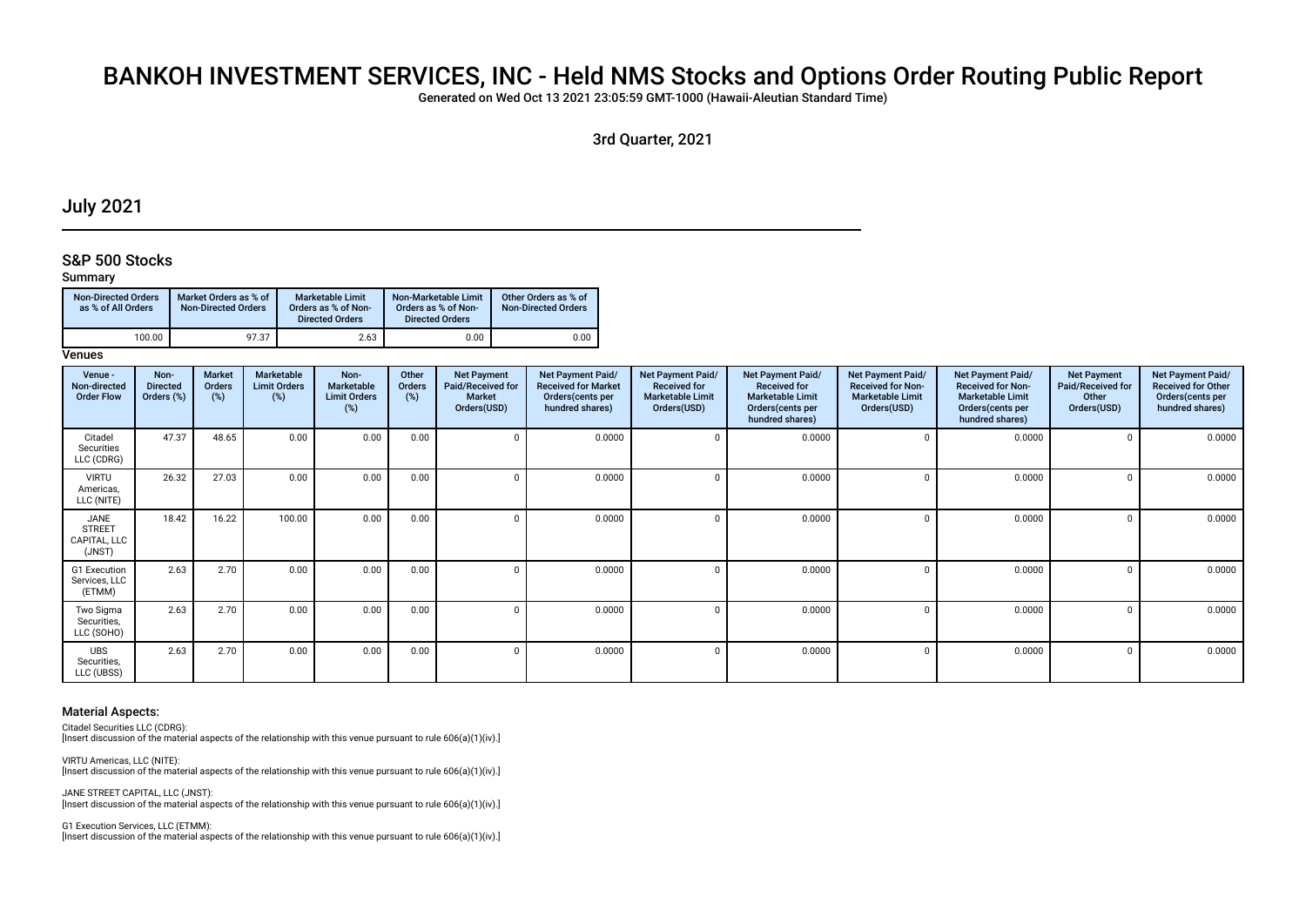# BANKOH INVESTMENT SERVICES, INC - Held NMS Stocks and Options Order Routing Public Report

Generated on Wed Oct 13 2021 23:05:59 GMT-1000 (Hawaii-Aleutian Standard Time)

3rd Quarter, 2021

### July 2021

### S&P 500 Stocks

#### Summary

| <b>Non-Directed Orders</b><br>as % of All Orders | Market Orders as % of<br>Non-Directed Orders | <b>Marketable Limit</b><br>Orders as % of Non-<br><b>Directed Orders</b> | Non-Marketable Limit<br>Orders as % of Non-<br><b>Directed Orders</b> | Other Orders as % of<br><b>Non-Directed Orders</b> |
|--------------------------------------------------|----------------------------------------------|--------------------------------------------------------------------------|-----------------------------------------------------------------------|----------------------------------------------------|
| 100.00                                           | 97.37                                        | 2.63                                                                     | 0.00                                                                  | 0.00                                               |

#### **Venues**

| Venue -<br>Non-directed<br><b>Order Flow</b>    | Non-<br><b>Directed</b><br>Orders (%) | <b>Market</b><br>Orders<br>(%) | Marketable<br><b>Limit Orders</b><br>(%) | Non-<br>Marketable<br><b>Limit Orders</b><br>(%) | Other<br>Orders<br>(%) | <b>Net Payment</b><br>Paid/Received for<br>Market<br>Orders(USD) | Net Payment Paid/<br><b>Received for Market</b><br>Orders(cents per<br>hundred shares) | Net Payment Paid/<br><b>Received for</b><br><b>Marketable Limit</b><br>Orders(USD) | Net Payment Paid/<br><b>Received for</b><br><b>Marketable Limit</b><br>Orders(cents per<br>hundred shares) | <b>Net Payment Paid/</b><br><b>Received for Non-</b><br><b>Marketable Limit</b><br>Orders(USD) | <b>Net Payment Paid/</b><br><b>Received for Non-</b><br><b>Marketable Limit</b><br>Orders (cents per<br>hundred shares) | <b>Net Payment</b><br>Paid/Received for<br>Other<br>Orders(USD) | Net Payment Paid/<br><b>Received for Other</b><br>Orders(cents per<br>hundred shares) |
|-------------------------------------------------|---------------------------------------|--------------------------------|------------------------------------------|--------------------------------------------------|------------------------|------------------------------------------------------------------|----------------------------------------------------------------------------------------|------------------------------------------------------------------------------------|------------------------------------------------------------------------------------------------------------|------------------------------------------------------------------------------------------------|-------------------------------------------------------------------------------------------------------------------------|-----------------------------------------------------------------|---------------------------------------------------------------------------------------|
| Citadel<br>Securities<br>LLC (CDRG)             | 47.37                                 | 48.65                          | 0.00                                     | 0.00                                             | 0.00                   |                                                                  | 0.0000                                                                                 |                                                                                    | 0.0000                                                                                                     |                                                                                                | 0.0000                                                                                                                  |                                                                 | 0.0000                                                                                |
| <b>VIRTU</b><br>Americas,<br>LLC (NITE)         | 26.32                                 | 27.03                          | 0.00                                     | 0.00                                             | 0.00                   |                                                                  | 0.0000                                                                                 |                                                                                    | 0.0000                                                                                                     |                                                                                                | 0.0000                                                                                                                  |                                                                 | 0.0000                                                                                |
| JANE<br><b>STREET</b><br>CAPITAL, LLC<br>(JNST) | 18.42                                 | 16.22                          | 100.00                                   | 0.00                                             | 0.00                   | $\sqrt{ }$                                                       | 0.0000                                                                                 |                                                                                    | 0.0000                                                                                                     |                                                                                                | 0.0000                                                                                                                  | $\Omega$                                                        | 0.0000                                                                                |
| G1 Execution<br>Services, LLC<br>(ETMM)         | 2.63                                  | 2.70                           | 0.00                                     | 0.00                                             | 0.00                   | $\sqrt{ }$                                                       | 0.0000                                                                                 |                                                                                    | 0.0000                                                                                                     |                                                                                                | 0.0000                                                                                                                  |                                                                 | 0.0000                                                                                |
| Two Sigma<br>Securities,<br>LLC (SOHO)          | 2.63                                  | 2.70                           | 0.00                                     | 0.00                                             | 0.00                   | $\Omega$                                                         | 0.0000                                                                                 |                                                                                    | 0.0000                                                                                                     |                                                                                                | 0.0000                                                                                                                  |                                                                 | 0.0000                                                                                |
| <b>UBS</b><br>Securities,<br>LLC (UBSS)         | 2.63                                  | 2.70                           | 0.00                                     | 0.00                                             | 0.00                   | -0                                                               | 0.0000                                                                                 |                                                                                    | 0.0000                                                                                                     |                                                                                                | 0.0000                                                                                                                  |                                                                 | 0.0000                                                                                |

#### Material Aspects:

Citadel Securities LLC (CDRG):

[Insert discussion of the material aspects of the relationship with this venue pursuant to rule 606(a)(1)(iv).]

VIRTU Americas, LLC (NITE): [Insert discussion of the material aspects of the relationship with this venue pursuant to rule 606(a)(1)(iv).]

JANE STREET CAPITAL, LLC (JNST): [Insert discussion of the material aspects of the relationship with this venue pursuant to rule 606(a)(1)(iv).]

G1 Execution Services, LLC (ETMM): [Insert discussion of the material aspects of the relationship with this venue pursuant to rule 606(a)(1)(iv).]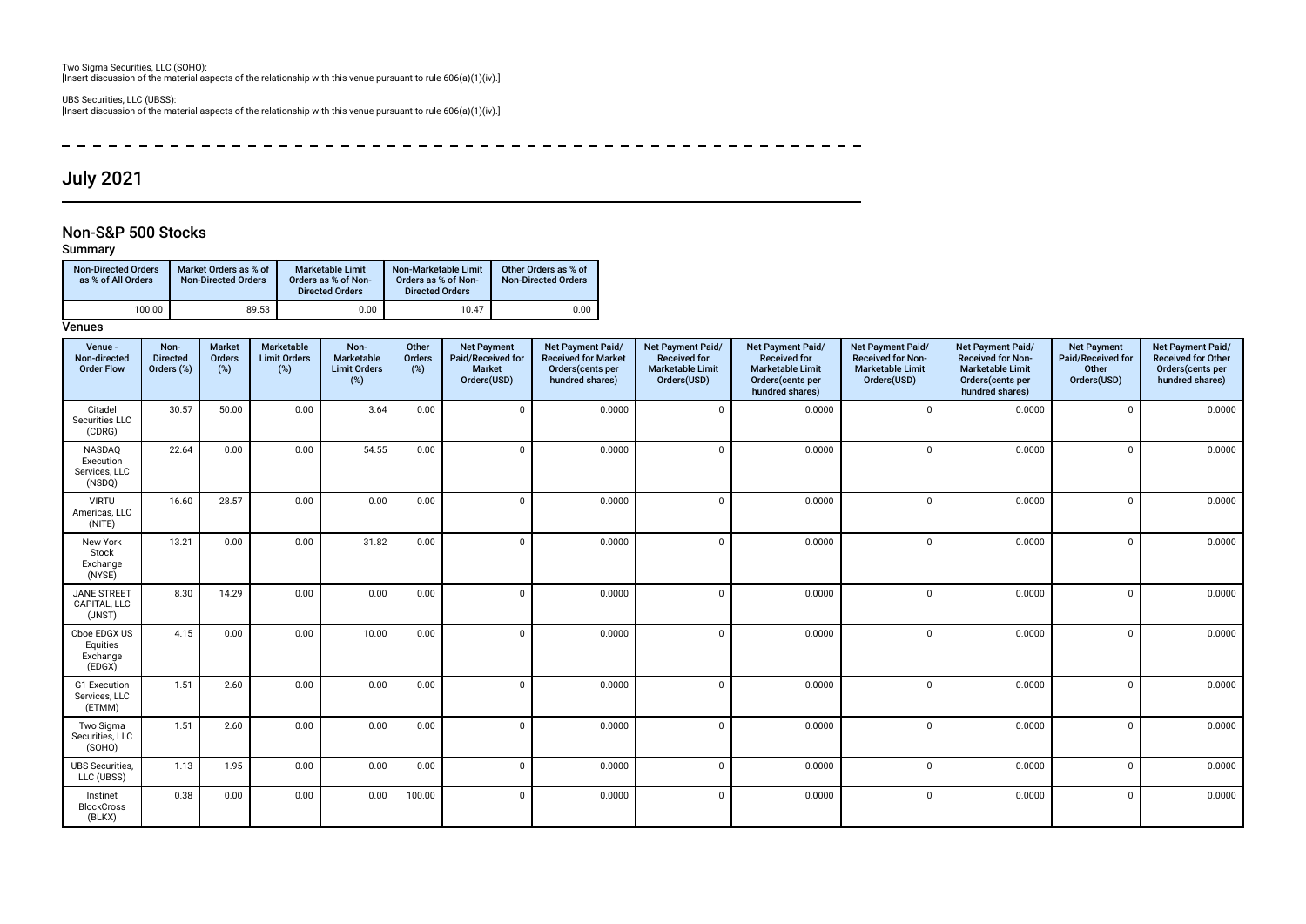Two Sigma Securities, LLC (SOHO): [Insert discussion of the material aspects of the relationship with this venue pursuant to rule 606(a)(1)(iv).]

UBS Securities, LLC (UBSS): [Insert discussion of the material aspects of the relationship with this venue pursuant to rule 606(a)(1)(iv).]

 $\sim$   $\sim$ 

# July 2021

### Non-S&P 500 Stocks

### Summary

| <b>Non-Directed Orders</b><br>as % of All Orders | Market Orders as % of<br><b>Non-Directed Orders</b> | <b>Marketable Limit</b><br>Orders as % of Non-<br><b>Directed Orders</b> | Non-Marketable Limit<br>Orders as % of Non-<br><b>Directed Orders</b> | Other Orders as % of<br><b>Non-Directed Orders</b> |
|--------------------------------------------------|-----------------------------------------------------|--------------------------------------------------------------------------|-----------------------------------------------------------------------|----------------------------------------------------|
| 100.00                                           | 89.53                                               | 0.00                                                                     | 10.47                                                                 | 0.00                                               |

### **Venues**

| Venue -<br>Non-directed<br><b>Order Flow</b>   | Non-<br><b>Directed</b><br>Orders (%) | <b>Market</b><br>Orders<br>(%) | Marketable<br><b>Limit Orders</b><br>(%) | Non-<br>Marketable<br><b>Limit Orders</b><br>(%) | Other<br>Orders<br>(%) | <b>Net Payment</b><br>Paid/Received for<br>Market<br>Orders(USD) | Net Payment Paid/<br><b>Received for Market</b><br>Orders(cents per<br>hundred shares) | Net Payment Paid/<br><b>Received for</b><br><b>Marketable Limit</b><br>Orders(USD) | Net Payment Paid/<br><b>Received for</b><br><b>Marketable Limit</b><br>Orders(cents per<br>hundred shares) | Net Payment Paid/<br><b>Received for Non-</b><br><b>Marketable Limit</b><br>Orders(USD) | Net Payment Paid/<br><b>Received for Non-</b><br><b>Marketable Limit</b><br>Orders(cents per<br>hundred shares) | <b>Net Payment</b><br>Paid/Received for<br>Other<br>Orders(USD) | Net Payment Paid/<br><b>Received for Other</b><br>Orders(cents per<br>hundred shares) |
|------------------------------------------------|---------------------------------------|--------------------------------|------------------------------------------|--------------------------------------------------|------------------------|------------------------------------------------------------------|----------------------------------------------------------------------------------------|------------------------------------------------------------------------------------|------------------------------------------------------------------------------------------------------------|-----------------------------------------------------------------------------------------|-----------------------------------------------------------------------------------------------------------------|-----------------------------------------------------------------|---------------------------------------------------------------------------------------|
| Citadel<br>Securities LLC<br>(CDRG)            | 30.57                                 | 50.00                          | 0.00                                     | 3.64                                             | 0.00                   | $\Omega$                                                         | 0.0000                                                                                 | $\Omega$                                                                           | 0.0000                                                                                                     | $\mathbf 0$                                                                             | 0.0000                                                                                                          | $\Omega$                                                        | 0.0000                                                                                |
| NASDAQ<br>Execution<br>Services, LLC<br>(NSDQ) | 22.64                                 | 0.00                           | 0.00                                     | 54.55                                            | 0.00                   | $\Omega$                                                         | 0.0000                                                                                 | $\Omega$                                                                           | 0.0000                                                                                                     | $\Omega$                                                                                | 0.0000                                                                                                          | $\Omega$                                                        | 0.0000                                                                                |
| <b>VIRTU</b><br>Americas, LLC<br>(NITE)        | 16.60                                 | 28.57                          | 0.00                                     | 0.00                                             | 0.00                   | $\Omega$                                                         | 0.0000                                                                                 | $\Omega$                                                                           | 0.0000                                                                                                     | $\Omega$                                                                                | 0.0000                                                                                                          | $\Omega$                                                        | 0.0000                                                                                |
| New York<br>Stock<br>Exchange<br>(NYSE)        | 13.21                                 | 0.00                           | 0.00                                     | 31.82                                            | 0.00                   | $\Omega$                                                         | 0.0000                                                                                 | $\Omega$                                                                           | 0.0000                                                                                                     | $\Omega$                                                                                | 0.0000                                                                                                          | $\Omega$                                                        | 0.0000                                                                                |
| JANE STREET<br>CAPITAL, LLC<br>(JNST)          | 8.30                                  | 14.29                          | 0.00                                     | 0.00                                             | 0.00                   | $\Omega$                                                         | 0.0000                                                                                 | $\Omega$                                                                           | 0.0000                                                                                                     | $\Omega$                                                                                | 0.0000                                                                                                          | $\Omega$                                                        | 0.0000                                                                                |
| Cboe EDGX US<br>Equities<br>Exchange<br>(EDGX) | 4.15                                  | 0.00                           | 0.00                                     | 10.00                                            | 0.00                   | $\Omega$                                                         | 0.0000                                                                                 | $\Omega$                                                                           | 0.0000                                                                                                     | $\mathbf 0$                                                                             | 0.0000                                                                                                          | $\Omega$                                                        | 0.0000                                                                                |
| G1 Execution<br>Services, LLC<br>(ETMM)        | 1.51                                  | 2.60                           | 0.00                                     | 0.00                                             | 0.00                   | $\mathbf 0$                                                      | 0.0000                                                                                 | $\Omega$                                                                           | 0.0000                                                                                                     | $\mathbf 0$                                                                             | 0.0000                                                                                                          | $\mathbf{0}$                                                    | 0.0000                                                                                |
| Two Sigma<br>Securities, LLC<br>(SOHO)         | 1.51                                  | 2.60                           | 0.00                                     | 0.00                                             | 0.00                   | $\mathbf 0$                                                      | 0.0000                                                                                 | $\Omega$                                                                           | 0.0000                                                                                                     | $\mathbf{0}$                                                                            | 0.0000                                                                                                          | $\mathbf{0}$                                                    | 0.0000                                                                                |
| <b>UBS</b> Securities,<br>LLC (UBSS)           | 1.13                                  | 1.95                           | 0.00                                     | 0.00                                             | 0.00                   | $\mathbf 0$                                                      | 0.0000                                                                                 | $\Omega$                                                                           | 0.0000                                                                                                     | $\Omega$                                                                                | 0.0000                                                                                                          | $\Omega$                                                        | 0.0000                                                                                |
| Instinet<br><b>BlockCross</b><br>(BLKX)        | 0.38                                  | 0.00                           | 0.00                                     | 0.00                                             | 100.00                 | $\Omega$                                                         | 0.0000                                                                                 | $\Omega$                                                                           | 0.0000                                                                                                     | $\mathbf{0}$                                                                            | 0.0000                                                                                                          | $\mathbf{0}$                                                    | 0.0000                                                                                |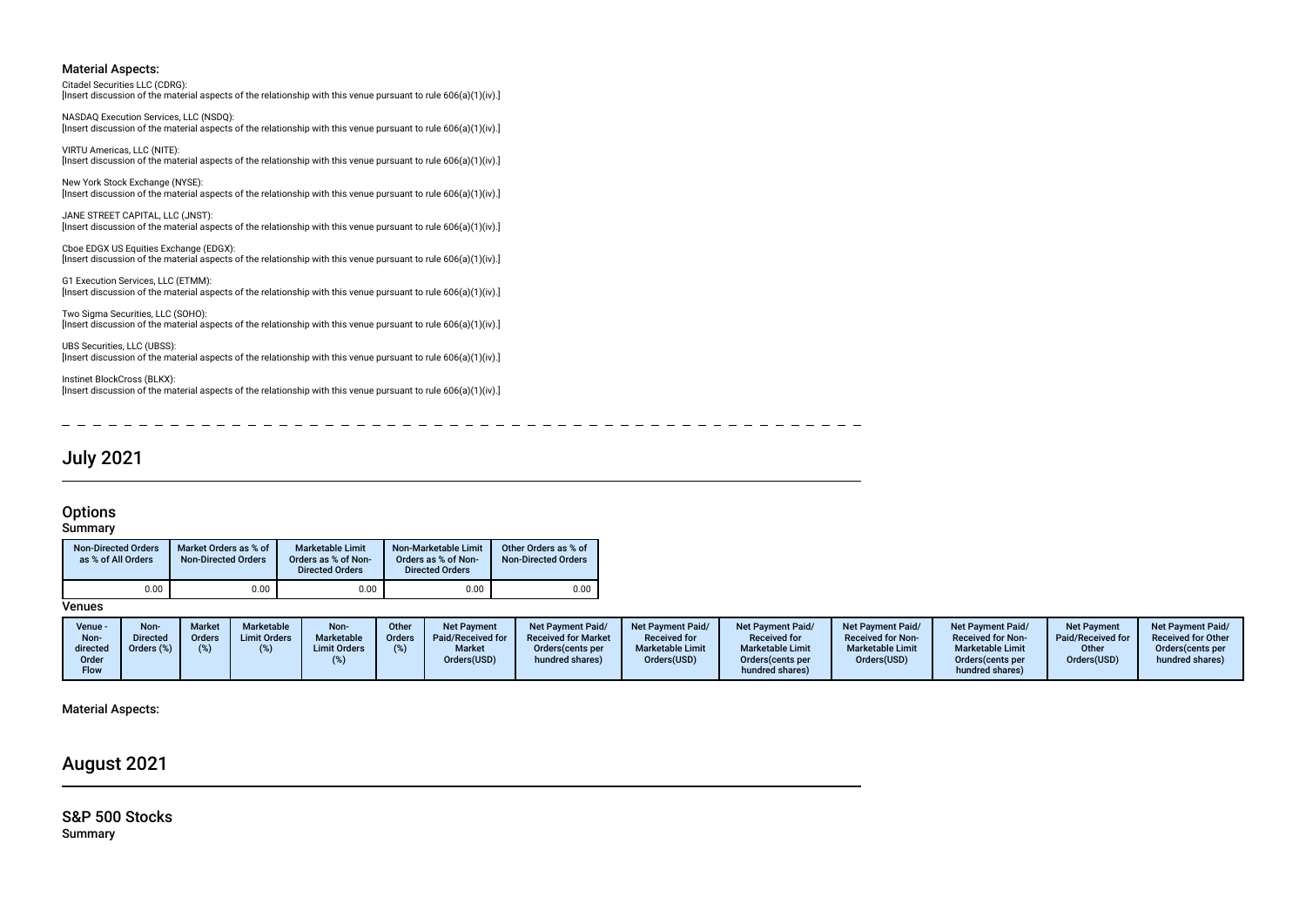#### Material Aspects:

#### Citadel Securities LLC (CDRG):

[Insert discussion of the material aspects of the relationship with this venue pursuant to rule 606(a)(1)(iv).]

NASDAQ Execution Services, LLC (NSDQ): [Insert discussion of the material aspects of the relationship with this venue pursuant to rule 606(a)(1)(iv).]

VIRTU Americas, LLC (NITE): [Insert discussion of the material aspects of the relationship with this venue pursuant to rule 606(a)(1)(iv).]

New York Stock Exchange (NYSE): [Insert discussion of the material aspects of the relationship with this venue pursuant to rule 606(a)(1)(iv).]

JANE STREET CAPITAL, LLC (JNST): [Insert discussion of the material aspects of the relationship with this venue pursuant to rule 606(a)(1)(iv).]

Cboe EDGX US Equities Exchange (EDGX): [Insert discussion of the material aspects of the relationship with this venue pursuant to rule 606(a)(1)(iv).]

G1 Execution Services, LLC (ETMM): [Insert discussion of the material aspects of the relationship with this venue pursuant to rule 606(a)(1)(iv).]

Two Sigma Securities, LLC (SOHO): [Insert discussion of the material aspects of the relationship with this venue pursuant to rule 606(a)(1)(iv).]

UBS Securities, LLC (UBSS): [Insert discussion of the material aspects of the relationship with this venue pursuant to rule 606(a)(1)(iv).]

Instinet BlockCross (BLKX): [Insert discussion of the material aspects of the relationship with this venue pursuant to rule 606(a)(1)(iv).]

- -

# July 2021

### **Options**

### **Summary**

| <b>Non-Directed Orders</b><br>as % of All Orders | Market Orders as % of<br><b>Non-Directed Orders</b> | <b>Marketable Limit</b><br>Orders as % of Non-<br><b>Directed Orders</b> | Non-Marketable Limit<br>Orders as % of Non-<br><b>Directed Orders</b> | Other Orders as % of<br><b>Non-Directed Orders</b> |
|--------------------------------------------------|-----------------------------------------------------|--------------------------------------------------------------------------|-----------------------------------------------------------------------|----------------------------------------------------|
| 0.00                                             | 0.00                                                | 0.00                                                                     | 0.00                                                                  | 0.00                                               |

**Venues** 

| Venue -<br>Non-<br>directed<br>Order | <b>Non-</b><br><b>Directed</b><br>Orders (%) | <b>Market</b><br>Orders<br>(% ) | Marketable<br><b>Limit Orders</b> | Non-<br><b>Marketable</b><br><b>Limit Orders</b> | Other<br>Orders | <b>Net Payment</b><br>Paid/Received for<br><b>Market</b><br>Orders(USD) | <b>Net Payment Paid/</b><br><b>Received for Market</b><br>Orders (cents per<br>hundred shares) | <b>Net Payment Paid/</b><br><b>Received for</b><br><b>Marketable Limit</b><br>Orders(USD) | <b>Net Payment Paid/</b><br><b>Received for</b><br><b>Marketable Limit</b><br>Orders (cents per | <b>Net Payment Paid/</b><br><b>Received for Non-</b><br><b>Marketable Limit</b><br>Orders(USD) | <b>Net Payment Paid/</b><br><b>Received for Non-</b><br><b>Marketable Limit</b><br>Orders(cents per | <b>Net Payment</b><br>Paid/Received for<br>Other<br>Orders(USD) | Net Payment Paid/<br><b>Received for Other</b><br>Orders (cents per<br>hundred shares) |
|--------------------------------------|----------------------------------------------|---------------------------------|-----------------------------------|--------------------------------------------------|-----------------|-------------------------------------------------------------------------|------------------------------------------------------------------------------------------------|-------------------------------------------------------------------------------------------|-------------------------------------------------------------------------------------------------|------------------------------------------------------------------------------------------------|-----------------------------------------------------------------------------------------------------|-----------------------------------------------------------------|----------------------------------------------------------------------------------------|
| Flow                                 |                                              |                                 |                                   |                                                  |                 |                                                                         |                                                                                                |                                                                                           | hundred shares)                                                                                 |                                                                                                | hundred shares)                                                                                     |                                                                 |                                                                                        |

#### Material Aspects:

# August 2021

S&P 500 Stocks Summary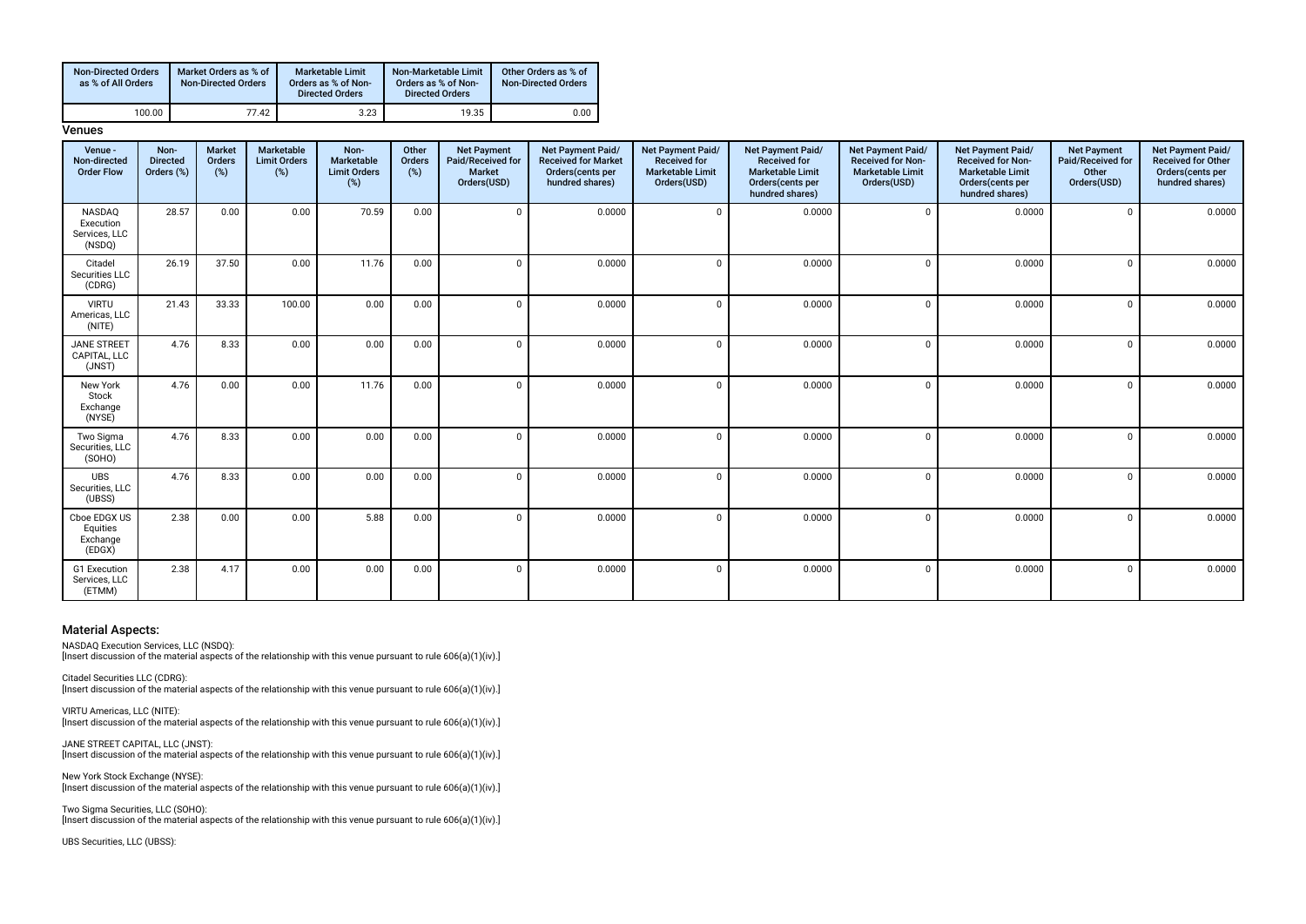| <b>Non-Directed Orders</b><br>as % of All Orders | Market Orders as % of<br><b>Non-Directed Orders</b> | <b>Marketable Limit</b><br>Orders as % of Non-<br><b>Directed Orders</b> | Non-Marketable Limit<br>Orders as % of Non-<br><b>Directed Orders</b> | Other Orders as % of<br><b>Non-Directed Orders</b> |
|--------------------------------------------------|-----------------------------------------------------|--------------------------------------------------------------------------|-----------------------------------------------------------------------|----------------------------------------------------|
| 100.00                                           | 77.42                                               | 3.23                                                                     | 19.35                                                                 | 0.00                                               |

**Venues** 

| Venue -<br>Non-directed<br><b>Order Flow</b>   | Non-<br><b>Directed</b><br>Orders (%) | <b>Market</b><br>Orders<br>$(\%)$ | Marketable<br><b>Limit Orders</b><br>(%) | Non-<br>Marketable<br><b>Limit Orders</b><br>$(\%)$ | Other<br>Orders<br>(%) | <b>Net Payment</b><br>Paid/Received for<br><b>Market</b><br>Orders(USD) | Net Payment Paid/<br><b>Received for Market</b><br>Orders(cents per<br>hundred shares) | Net Payment Paid/<br><b>Received for</b><br><b>Marketable Limit</b><br>Orders(USD) | <b>Net Payment Paid/</b><br><b>Received for</b><br><b>Marketable Limit</b><br>Orders(cents per<br>hundred shares) | Net Payment Paid/<br><b>Received for Non-</b><br><b>Marketable Limit</b><br>Orders(USD) | Net Payment Paid/<br><b>Received for Non-</b><br><b>Marketable Limit</b><br>Orders(cents per<br>hundred shares) | <b>Net Payment</b><br>Paid/Received for<br>Other<br>Orders(USD) | Net Payment Paid/<br><b>Received for Other</b><br>Orders(cents per<br>hundred shares) |
|------------------------------------------------|---------------------------------------|-----------------------------------|------------------------------------------|-----------------------------------------------------|------------------------|-------------------------------------------------------------------------|----------------------------------------------------------------------------------------|------------------------------------------------------------------------------------|-------------------------------------------------------------------------------------------------------------------|-----------------------------------------------------------------------------------------|-----------------------------------------------------------------------------------------------------------------|-----------------------------------------------------------------|---------------------------------------------------------------------------------------|
| NASDAQ<br>Execution<br>Services, LLC<br>(NSDQ) | 28.57                                 | 0.00                              | 0.00                                     | 70.59                                               | 0.00                   | $\Omega$                                                                | 0.0000                                                                                 | $\Omega$                                                                           | 0.0000                                                                                                            | $\mathbf 0$                                                                             | 0.0000                                                                                                          | $\mathbf 0$                                                     | 0.0000                                                                                |
| Citadel<br>Securities LLC<br>(CDRG)            | 26.19                                 | 37.50                             | 0.00                                     | 11.76                                               | 0.00                   | $\Omega$                                                                | 0.0000                                                                                 | $\Omega$                                                                           | 0.0000                                                                                                            | $\Omega$                                                                                | 0.0000                                                                                                          | $\mathbf 0$                                                     | 0.0000                                                                                |
| <b>VIRTU</b><br>Americas, LLC<br>(NITE)        | 21.43                                 | 33.33                             | 100.00                                   | 0.00                                                | 0.00                   | $\Omega$                                                                | 0.0000                                                                                 | $\Omega$                                                                           | 0.0000                                                                                                            | $\Omega$                                                                                | 0.0000                                                                                                          | $\mathbf{0}$                                                    | 0.0000                                                                                |
| <b>JANE STREET</b><br>CAPITAL, LLC<br>(JNST)   | 4.76                                  | 8.33                              | 0.00                                     | 0.00                                                | 0.00                   | $\Omega$                                                                | 0.0000                                                                                 | $\Omega$                                                                           | 0.0000                                                                                                            | $\Omega$                                                                                | 0.0000                                                                                                          | $\Omega$                                                        | 0.0000                                                                                |
| New York<br>Stock<br>Exchange<br>(NYSE)        | 4.76                                  | 0.00                              | 0.00                                     | 11.76                                               | 0.00                   | $\Omega$                                                                | 0.0000                                                                                 | $\Omega$                                                                           | 0.0000                                                                                                            | $\Omega$                                                                                | 0.0000                                                                                                          | $\mathbf 0$                                                     | 0.0000                                                                                |
| Two Sigma<br>Securities, LLC<br>(SOHO)         | 4.76                                  | 8.33                              | 0.00                                     | 0.00                                                | 0.00                   | $\Omega$                                                                | 0.0000                                                                                 | $\Omega$                                                                           | 0.0000                                                                                                            | $\Omega$                                                                                | 0.0000                                                                                                          | $\Omega$                                                        | 0.0000                                                                                |
| <b>UBS</b><br>Securities, LLC<br>(UBSS)        | 4.76                                  | 8.33                              | 0.00                                     | 0.00                                                | 0.00                   | $\Omega$                                                                | 0.0000                                                                                 | $\Omega$                                                                           | 0.0000                                                                                                            | $\Omega$                                                                                | 0.0000                                                                                                          | $\Omega$                                                        | 0.0000                                                                                |
| Cboe EDGX US<br>Equities<br>Exchange<br>(EDGX) | 2.38                                  | 0.00                              | 0.00                                     | 5.88                                                | 0.00                   | $\Omega$                                                                | 0.0000                                                                                 | $\Omega$                                                                           | 0.0000                                                                                                            | $\Omega$                                                                                | 0.0000                                                                                                          | $\mathbf{0}$                                                    | 0.0000                                                                                |
| G1 Execution<br>Services, LLC<br>(ETMM)        | 2.38                                  | 4.17                              | 0.00                                     | 0.00                                                | 0.00                   | <sup>0</sup>                                                            | 0.0000                                                                                 | $\Omega$                                                                           | 0.0000                                                                                                            | $\Omega$                                                                                | 0.0000                                                                                                          | $\mathbf 0$                                                     | 0.0000                                                                                |

### Material Aspects:

NASDAQ Execution Services, LLC (NSDQ):

[Insert discussion of the material aspects of the relationship with this venue pursuant to rule 606(a)(1)(iv).]

Citadel Securities LLC (CDRG):

[Insert discussion of the material aspects of the relationship with this venue pursuant to rule 606(a)(1)(iv).]

VIRTU Americas, LLC (NITE): [Insert discussion of the material aspects of the relationship with this venue pursuant to rule 606(a)(1)(iv).]

JANE STREET CAPITAL, LLC (JNST): [Insert discussion of the material aspects of the relationship with this venue pursuant to rule 606(a)(1)(iv).]

New York Stock Exchange (NYSE): [Insert discussion of the material aspects of the relationship with this venue pursuant to rule 606(a)(1)(iv).]

Two Sigma Securities, LLC (SOHO): [Insert discussion of the material aspects of the relationship with this venue pursuant to rule 606(a)(1)(iv).]

UBS Securities, LLC (UBSS):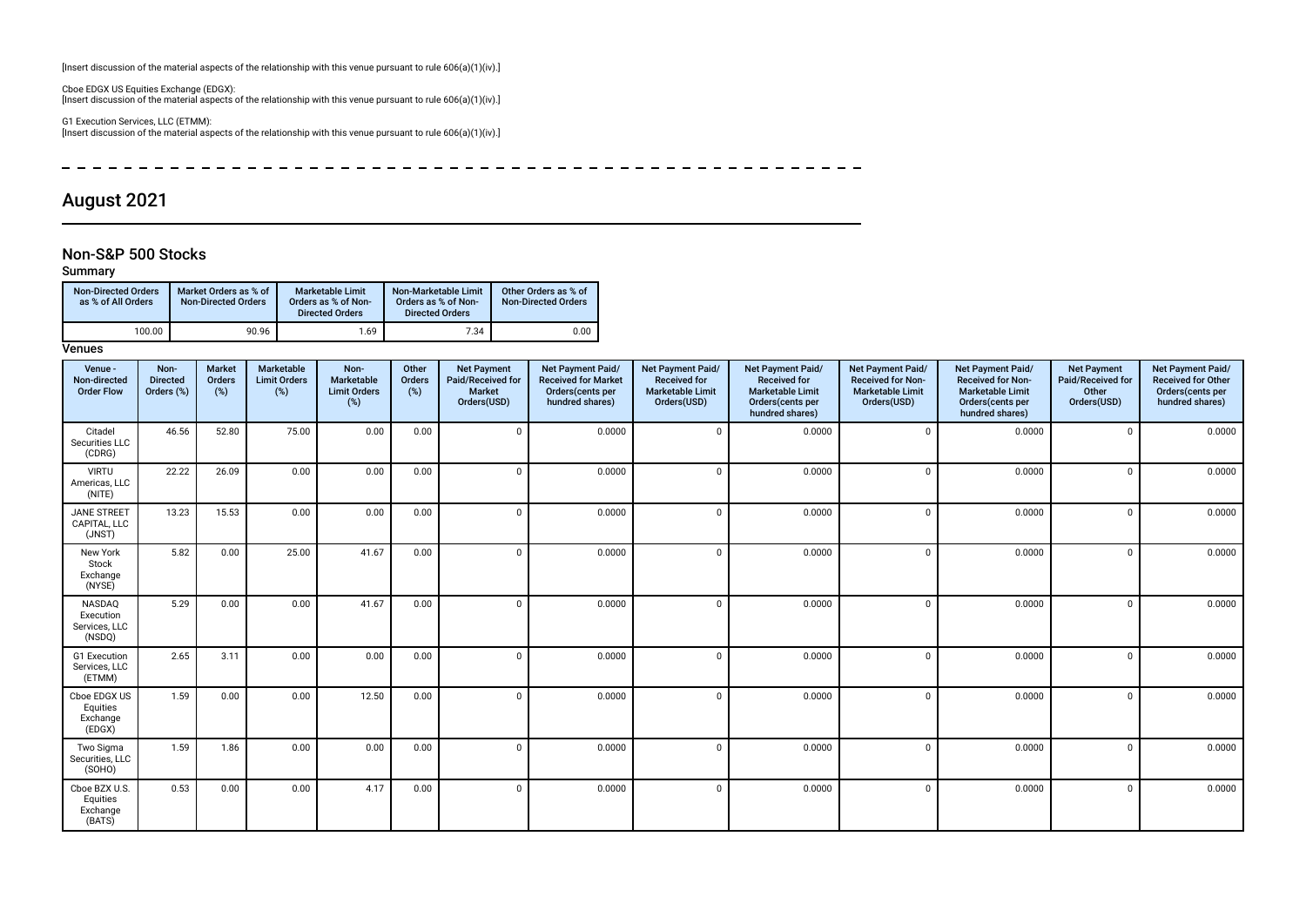[Insert discussion of the material aspects of the relationship with this venue pursuant to rule 606(a)(1)(iv).]

Cboe EDGX US Equities Exchange (EDGX): [Insert discussion of the material aspects of the relationship with this venue pursuant to rule 606(a)(1)(iv).]

G1 Execution Services, LLC (ETMM): [Insert discussion of the material aspects of the relationship with this venue pursuant to rule 606(a)(1)(iv).]

\_\_\_\_\_\_\_\_\_\_\_\_\_\_\_\_\_\_\_\_\_\_\_\_\_\_\_\_  $- - - - - - - - - - - \overline{\phantom{0}}$  $\sim$   $\overline{\phantom{0}}$ 

# August 2021

### Non-S&P 500 Stocks

### Summary

| <b>Non-Directed Orders</b><br>as % of All Orders | Market Orders as % of<br><b>Non-Directed Orders</b> | <b>Marketable Limit</b><br>Orders as % of Non-<br><b>Directed Orders</b> | Non-Marketable Limit<br>Orders as % of Non-<br><b>Directed Orders</b> | Other Orders as % of<br><b>Non-Directed Orders</b> |
|--------------------------------------------------|-----------------------------------------------------|--------------------------------------------------------------------------|-----------------------------------------------------------------------|----------------------------------------------------|
| 100.00                                           | 90.96                                               | 1.69                                                                     | 7.34                                                                  | 0.00                                               |

#### Venues

| Venue -<br>Non-directed<br><b>Order Flow</b>    | Non-<br><b>Directed</b><br>Orders (%) | <b>Market</b><br>Orders<br>(%) | Marketable<br><b>Limit Orders</b><br>$(\%)$ | Non-<br>Marketable<br><b>Limit Orders</b><br>(%) | Other<br>Orders<br>(%) | <b>Net Payment</b><br>Paid/Received for<br>Market<br>Orders(USD) | Net Payment Paid/<br><b>Received for Market</b><br>Orders(cents per<br>hundred shares) | Net Payment Paid/<br><b>Received for</b><br><b>Marketable Limit</b><br>Orders(USD) | Net Payment Paid/<br><b>Received for</b><br><b>Marketable Limit</b><br>Orders(cents per<br>hundred shares) | Net Payment Paid/<br><b>Received for Non-</b><br><b>Marketable Limit</b><br>Orders(USD) | Net Payment Paid/<br><b>Received for Non-</b><br><b>Marketable Limit</b><br>Orders(cents per<br>hundred shares) | <b>Net Payment</b><br>Paid/Received for<br>Other<br>Orders(USD) | Net Payment Paid/<br><b>Received for Other</b><br>Orders(cents per<br>hundred shares) |
|-------------------------------------------------|---------------------------------------|--------------------------------|---------------------------------------------|--------------------------------------------------|------------------------|------------------------------------------------------------------|----------------------------------------------------------------------------------------|------------------------------------------------------------------------------------|------------------------------------------------------------------------------------------------------------|-----------------------------------------------------------------------------------------|-----------------------------------------------------------------------------------------------------------------|-----------------------------------------------------------------|---------------------------------------------------------------------------------------|
| Citadel<br>Securities LLC<br>(CDRG)             | 46.56                                 | 52.80                          | 75.00                                       | 0.00                                             | 0.00                   | $\Omega$                                                         | 0.0000                                                                                 | $\mathbf 0$                                                                        | 0.0000                                                                                                     | $\Omega$                                                                                | 0.0000                                                                                                          | $\mathbf 0$                                                     | 0.0000                                                                                |
| <b>VIRTU</b><br>Americas, LLC<br>(NITE)         | 22.22                                 | 26.09                          | 0.00                                        | 0.00                                             | 0.00                   | $\Omega$                                                         | 0.0000                                                                                 | $\Omega$                                                                           | 0.0000                                                                                                     | $\Omega$                                                                                | 0.0000                                                                                                          | $\mathbf 0$                                                     | 0.0000                                                                                |
| <b>JANE STREET</b><br>CAPITAL, LLC<br>(JNST)    | 13.23                                 | 15.53                          | 0.00                                        | 0.00                                             | 0.00                   |                                                                  | 0.0000                                                                                 | $\mathbf 0$                                                                        | 0.0000                                                                                                     | $\Omega$                                                                                | 0.0000                                                                                                          | 0                                                               | 0.0000                                                                                |
| New York<br>Stock<br>Exchange<br>(NYSE)         | 5.82                                  | 0.00                           | 25.00                                       | 41.67                                            | 0.00                   | $\Omega$                                                         | 0.0000                                                                                 | $\Omega$                                                                           | 0.0000                                                                                                     | $\Omega$                                                                                | 0.0000                                                                                                          | $\mathbf 0$                                                     | 0.0000                                                                                |
| NASDAQ<br>Execution<br>Services, LLC<br>(NSDQ)  | 5.29                                  | 0.00                           | 0.00                                        | 41.67                                            | 0.00                   | $\Omega$                                                         | 0.0000                                                                                 | $\Omega$                                                                           | 0.0000                                                                                                     | $\Omega$                                                                                | 0.0000                                                                                                          | $\mathbf 0$                                                     | 0.0000                                                                                |
| G1 Execution<br>Services, LLC<br>(ETMM)         | 2.65                                  | 3.11                           | 0.00                                        | 0.00                                             | 0.00                   |                                                                  | 0.0000                                                                                 | $\Omega$                                                                           | 0.0000                                                                                                     | $\Omega$                                                                                | 0.0000                                                                                                          | $\mathbf 0$                                                     | 0.0000                                                                                |
| Cboe EDGX US<br>Equities<br>Exchange<br>(EDGX)  | 1.59                                  | 0.00                           | 0.00                                        | 12.50                                            | 0.00                   |                                                                  | 0.0000                                                                                 | $\Omega$                                                                           | 0.0000                                                                                                     | $\Omega$                                                                                | 0.0000                                                                                                          | $\mathbf 0$                                                     | 0.0000                                                                                |
| Two Sigma<br>Securities, LLC<br>(SOHO)          | 1.59                                  | 1.86                           | 0.00                                        | 0.00                                             | 0.00                   | $\Omega$                                                         | 0.0000                                                                                 | $\Omega$                                                                           | 0.0000                                                                                                     | $\Omega$                                                                                | 0.0000                                                                                                          | 0                                                               | 0.0000                                                                                |
| Cboe BZX U.S.<br>Equities<br>Exchange<br>(BATS) | 0.53                                  | 0.00                           | 0.00                                        | 4.17                                             | 0.00                   | $\Omega$                                                         | 0.0000                                                                                 | $\mathbf 0$                                                                        | 0.0000                                                                                                     | $\Omega$                                                                                | 0.0000                                                                                                          | $\mathbf 0$                                                     | 0.0000                                                                                |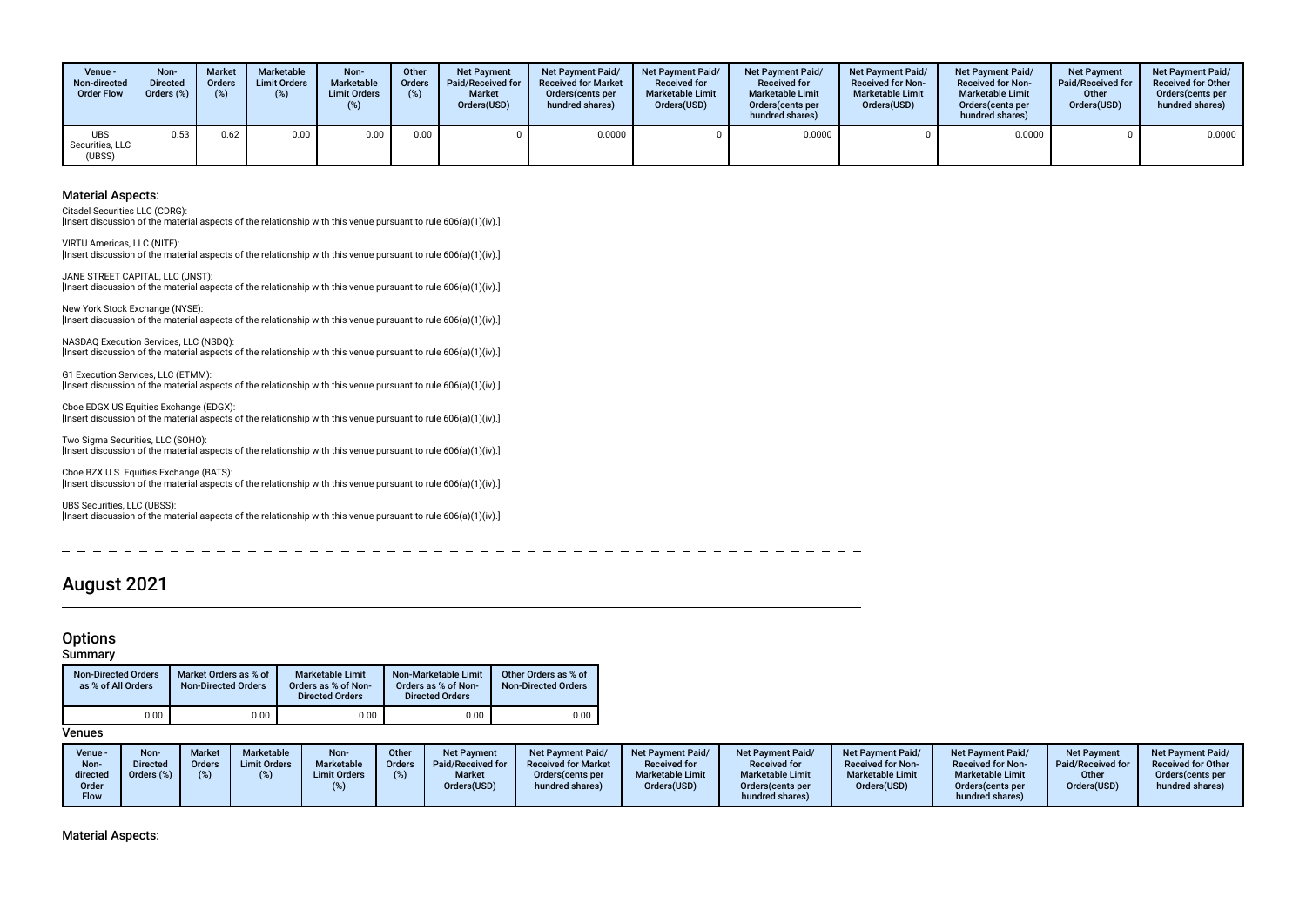| Venue -<br>Non-directed<br><b>Order Flow</b> | Non-<br><b>Directed</b><br>Orders (%) | <b>Market</b><br><b>Orders</b><br>(% ) | Marketable<br><b>Limit Orders</b><br>$(\%)$ | Non-<br>Marketable<br><b>Limit Orders</b><br>(%) | Other<br><b>Orders</b><br>(%) | <b>Net Payment</b><br>Paid/Received for<br><b>Market</b><br>Orders(USD) | <b>Net Payment Paid/</b><br><b>Received for Market</b><br>Orders cents per<br>hundred shares) | <b>Net Payment Paid/</b><br><b>Received for</b><br><b>Marketable Limit</b><br>Orders(USD) | Net Payment Paid/<br><b>Received for</b><br><b>Marketable Limit</b><br>Orders (cents per<br>hundred shares) | <b>Net Payment Paid/</b><br><b>Received for Non-</b><br><b>Marketable Limit</b><br>Orders(USD) | <b>Net Payment Paid/</b><br><b>Received for Non-</b><br><b>Marketable Limit</b><br>Orders (cents per<br>hundred shares) | <b>Net Payment</b><br>Paid/Received for<br>Other<br>Orders(USD) | <b>Net Payment Paid/</b><br><b>Received for Other</b><br>Orders(cents per<br>hundred shares) |
|----------------------------------------------|---------------------------------------|----------------------------------------|---------------------------------------------|--------------------------------------------------|-------------------------------|-------------------------------------------------------------------------|-----------------------------------------------------------------------------------------------|-------------------------------------------------------------------------------------------|-------------------------------------------------------------------------------------------------------------|------------------------------------------------------------------------------------------------|-------------------------------------------------------------------------------------------------------------------------|-----------------------------------------------------------------|----------------------------------------------------------------------------------------------|
| <b>UBS</b><br>Securities, LLC<br>(UBSS)      | 0.53                                  | 0.62                                   | 0.00                                        | 0.00                                             |                               |                                                                         | 0.0000                                                                                        |                                                                                           | 0.0000                                                                                                      |                                                                                                | 0.0000                                                                                                                  |                                                                 | 0.0000                                                                                       |

#### Material Aspects:

Citadel Securities LLC (CDRG):

[Insert discussion of the material aspects of the relationship with this venue pursuant to rule 606(a)(1)(iv).]

VIRTU Americas, LLC (NITE): [Insert discussion of the material aspects of the relationship with this venue pursuant to rule 606(a)(1)(iv).]

JANE STREET CAPITAL, LLC (JNST): [Insert discussion of the material aspects of the relationship with this venue pursuant to rule 606(a)(1)(iv).]

New York Stock Exchange (NYSE): [Insert discussion of the material aspects of the relationship with this venue pursuant to rule 606(a)(1)(iv).]

NASDAQ Execution Services, LLC (NSDQ): [Insert discussion of the material aspects of the relationship with this venue pursuant to rule 606(a)(1)(iv).]

G1 Execution Services, LLC (ETMM): [Insert discussion of the material aspects of the relationship with this venue pursuant to rule 606(a)(1)(iv).]

Cboe EDGX US Equities Exchange (EDGX): [Insert discussion of the material aspects of the relationship with this venue pursuant to rule 606(a)(1)(iv).]

Two Sigma Securities, LLC (SOHO): [Insert discussion of the material aspects of the relationship with this venue pursuant to rule 606(a)(1)(iv).]

Cboe BZX U.S. Equities Exchange (BATS): [Insert discussion of the material aspects of the relationship with this venue pursuant to rule 606(a)(1)(iv).]

UBS Securities, LLC (UBSS): [Insert discussion of the material aspects of the relationship with this venue pursuant to rule 606(a)(1)(iv).]

August 2021

### **Options**

**Summary** 

| <b>Non-Directed Orders</b><br>as % of All Orders | Market Orders as % of<br><b>Non-Directed Orders</b> | <b>Marketable Limit</b><br>Orders as % of Non-<br><b>Directed Orders</b> | Non-Marketable Limit<br>Orders as % of Non-<br><b>Directed Orders</b> | Other Orders as % of<br><b>Non-Directed Orders</b> |
|--------------------------------------------------|-----------------------------------------------------|--------------------------------------------------------------------------|-----------------------------------------------------------------------|----------------------------------------------------|
| 0.00                                             | 0.00                                                | 0.00                                                                     | 0.00                                                                  | 0.00                                               |

### Venues

| Venue -<br>Non-<br>directed<br>Order<br>Flow | <b>Non</b><br><b>Directed</b> | <b>Market</b><br>Orders | <b>Marketable</b><br><b>Limit Orders</b> | Non-<br>Marketable<br><b>Limit Orders</b> | Other<br>Orders | <b>Net Payment</b><br>Paid/Received for<br><b>Market</b><br>Orders(USD) | <b>Net Payment Paid/</b><br><b>Received for Market</b><br>Orders (cents per<br>hundred shares) | <b>Net Payment Paid/</b><br><b>Received for</b><br><b>Marketable Limit</b><br>Orders(USD) | <b>Net Payment Paid/</b><br><b>Received for</b><br><b>Marketable Limit</b><br>Orders (cents per<br>hundred shares) | Net Payment Paid/<br><b>Received for Non-</b><br><b>Marketable Limit</b><br>Orders(USD) | <b>Net Payment Paid/</b><br><b>Received for Non-</b><br><b>Marketable Limit</b><br>Orders (cents per<br>hundred shares) | <b>Net Payment</b><br>Paid/Received for<br>Other<br>Orders(USD) | <b>Net Payment Paid/</b><br><b>Received for Other</b><br>Orders (cents per<br>hundred shares) |
|----------------------------------------------|-------------------------------|-------------------------|------------------------------------------|-------------------------------------------|-----------------|-------------------------------------------------------------------------|------------------------------------------------------------------------------------------------|-------------------------------------------------------------------------------------------|--------------------------------------------------------------------------------------------------------------------|-----------------------------------------------------------------------------------------|-------------------------------------------------------------------------------------------------------------------------|-----------------------------------------------------------------|-----------------------------------------------------------------------------------------------|
|----------------------------------------------|-------------------------------|-------------------------|------------------------------------------|-------------------------------------------|-----------------|-------------------------------------------------------------------------|------------------------------------------------------------------------------------------------|-------------------------------------------------------------------------------------------|--------------------------------------------------------------------------------------------------------------------|-----------------------------------------------------------------------------------------|-------------------------------------------------------------------------------------------------------------------------|-----------------------------------------------------------------|-----------------------------------------------------------------------------------------------|

Material Aspects: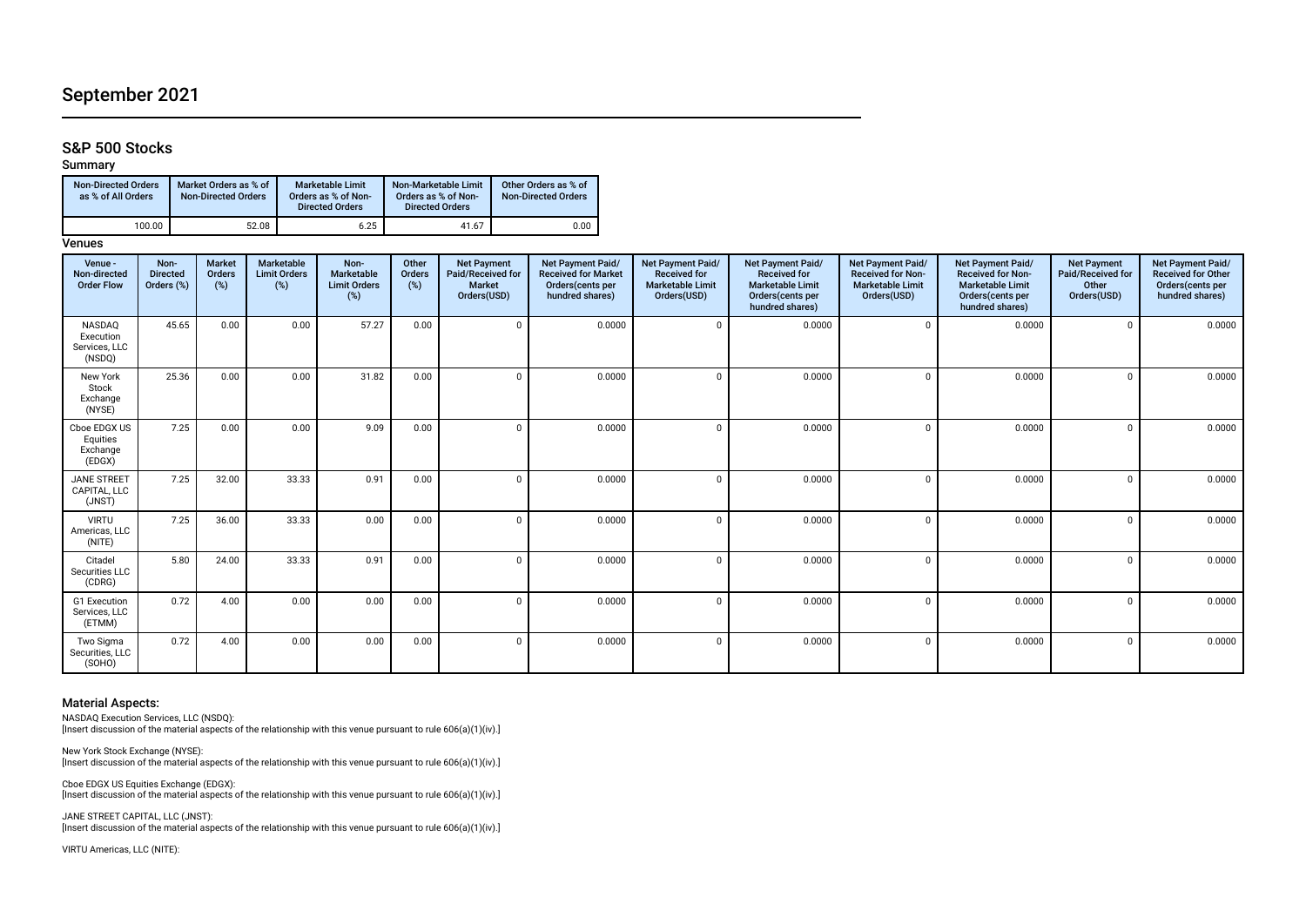# September 2021

### S&P 500 Stocks

Summary

| .                                                |                                       |                                                     |                                          |                                                                          |                                                                              |                                                                         |                                                                                         |                                                                                    |                                                                                                            |                                                                                  |                                                                                                                 |                                                                 |                                                                                |
|--------------------------------------------------|---------------------------------------|-----------------------------------------------------|------------------------------------------|--------------------------------------------------------------------------|------------------------------------------------------------------------------|-------------------------------------------------------------------------|-----------------------------------------------------------------------------------------|------------------------------------------------------------------------------------|------------------------------------------------------------------------------------------------------------|----------------------------------------------------------------------------------|-----------------------------------------------------------------------------------------------------------------|-----------------------------------------------------------------|--------------------------------------------------------------------------------|
| <b>Non-Directed Orders</b><br>as % of All Orders |                                       | Market Orders as % of<br><b>Non-Directed Orders</b> |                                          | <b>Marketable Limit</b><br>Orders as % of Non-<br><b>Directed Orders</b> | <b>Non-Marketable Limit</b><br>Orders as % of Non-<br><b>Directed Orders</b> |                                                                         | Other Orders as % of<br><b>Non-Directed Orders</b>                                      |                                                                                    |                                                                                                            |                                                                                  |                                                                                                                 |                                                                 |                                                                                |
|                                                  | 100.00                                |                                                     | 52.08                                    | 6.25                                                                     |                                                                              | 41.67                                                                   | 0.00                                                                                    |                                                                                    |                                                                                                            |                                                                                  |                                                                                                                 |                                                                 |                                                                                |
| Venues                                           |                                       |                                                     |                                          |                                                                          |                                                                              |                                                                         |                                                                                         |                                                                                    |                                                                                                            |                                                                                  |                                                                                                                 |                                                                 |                                                                                |
| Venue -<br>Non-directed<br><b>Order Flow</b>     | Non-<br><b>Directed</b><br>Orders (%) | <b>Market</b><br>Orders<br>(%)                      | Marketable<br><b>Limit Orders</b><br>(%) | Non-<br>Marketable<br><b>Limit Orders</b><br>(%)                         | Other<br>Orders<br>(%)                                                       | <b>Net Payment</b><br>Paid/Received for<br><b>Market</b><br>Orders(USD) | Net Payment Paid/<br><b>Received for Market</b><br>Orders (cents per<br>hundred shares) | Net Payment Paid/<br><b>Received for</b><br><b>Marketable Limit</b><br>Orders(USD) | Net Payment Paid/<br><b>Received for</b><br><b>Marketable Limit</b><br>Orders(cents per<br>hundred shares) | Net Payment Paid/<br>Received for Non-<br><b>Marketable Limit</b><br>Orders(USD) | Net Payment Paid/<br><b>Received for Non-</b><br><b>Marketable Limit</b><br>Orders(cents per<br>hundred shares) | <b>Net Payment</b><br>Paid/Received for<br>Other<br>Orders(USD) | Net Payment Paid/<br>Received for Other<br>Orders(cents per<br>hundred shares) |
| NASDAQ<br>Execution<br>Services, LLC<br>(NSDQ)   | 45.65                                 | 0.00                                                | 0.00                                     | 57.27                                                                    | 0.00                                                                         | $\Omega$                                                                | 0.0000                                                                                  | $\Omega$                                                                           | 0.0000                                                                                                     | $\cap$                                                                           | 0.0000                                                                                                          | $\mathbf 0$                                                     | 0.0000                                                                         |
| New York<br>Stock<br>Exchange<br>(NYSE)          | 25.36                                 | 0.00                                                | 0.00                                     | 31.82                                                                    | 0.00                                                                         | $\Omega$                                                                | 0.0000                                                                                  | $\Omega$                                                                           | 0.0000                                                                                                     | $\Omega$                                                                         | 0.0000                                                                                                          | $\Omega$                                                        | 0.0000                                                                         |
| Cboe EDGX US<br>Equities<br>Exchange<br>(EDGX)   | 7.25                                  | 0.00                                                | 0.00                                     | 9.09                                                                     | 0.00                                                                         | $\Omega$                                                                | 0.0000                                                                                  | $\Omega$                                                                           | 0.0000                                                                                                     |                                                                                  | 0.0000                                                                                                          | 0                                                               | 0.0000                                                                         |
| <b>JANE STREET</b><br>CAPITAL, LLC<br>(JNST)     | 7.25                                  | 32.00                                               | 33.33                                    | 0.91                                                                     | 0.00                                                                         | $\Omega$                                                                | 0.0000                                                                                  | $\Omega$                                                                           | 0.0000                                                                                                     | $\Omega$                                                                         | 0.0000                                                                                                          | $\mathbf 0$                                                     | 0.0000                                                                         |
| <b>VIRTU</b><br>Americas, LLC<br>(NITE)          | 7.25                                  | 36.00                                               | 33.33                                    | 0.00                                                                     | 0.00                                                                         | $\Omega$                                                                | 0.0000                                                                                  | $\Omega$                                                                           | 0.0000                                                                                                     | $\Omega$                                                                         | 0.0000                                                                                                          | $\mathbf 0$                                                     | 0.0000                                                                         |
| Citadel<br>Securities LLC<br>(CDRG)              | 5.80                                  | 24.00                                               | 33.33                                    | 0.91                                                                     | 0.00                                                                         | $\Omega$                                                                | 0.0000                                                                                  | $\Omega$                                                                           | 0.0000                                                                                                     | $\Omega$                                                                         | 0.0000                                                                                                          | $\mathbf 0$                                                     | 0.0000                                                                         |
| G1 Execution<br>Services, LLC<br>(ETMM)          | 0.72                                  | 4.00                                                | 0.00                                     | 0.00                                                                     | 0.00                                                                         | $\Omega$                                                                | 0.0000                                                                                  | $\Omega$                                                                           | 0.0000                                                                                                     | $\Omega$                                                                         | 0.0000                                                                                                          | $\mathbf 0$                                                     | 0.0000                                                                         |

0.72 | 4.00 | 0.00 | 0.00 | 0.00 | 0.0000 | 0.0000 | 0.0000 | 0.0000 | 0.0000 | 0.0000 | 0.0000 | 0.0000 | 0.0000

#### Material Aspects:

Two Sigma Securities, LLC (SOHO)

NASDAQ Execution Services, LLC (NSDQ): [Insert discussion of the material aspects of the relationship with this venue pursuant to rule 606(a)(1)(iv).]

New York Stock Exchange (NYSE): [Insert discussion of the material aspects of the relationship with this venue pursuant to rule 606(a)(1)(iv).]

Cboe EDGX US Equities Exchange (EDGX): [Insert discussion of the material aspects of the relationship with this venue pursuant to rule 606(a)(1)(iv).]

JANE STREET CAPITAL, LLC (JNST): [Insert discussion of the material aspects of the relationship with this venue pursuant to rule 606(a)(1)(iv).]

VIRTU Americas, LLC (NITE):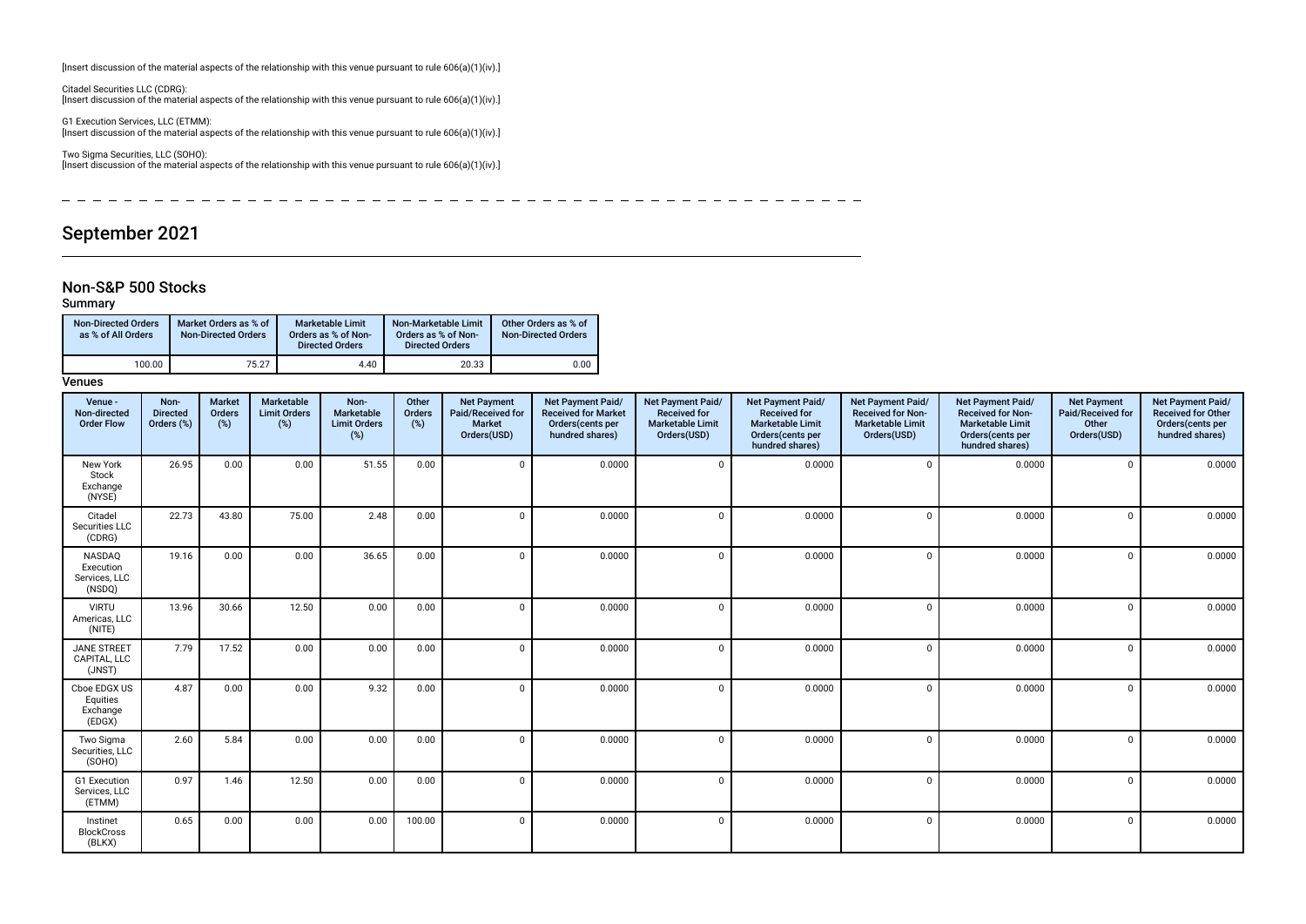[Insert discussion of the material aspects of the relationship with this venue pursuant to rule 606(a)(1)(iv).]

Citadel Securities LLC (CDRG): [Insert discussion of the material aspects of the relationship with this venue pursuant to rule 606(a)(1)(iv).]

G1 Execution Services, LLC (ETMM): [Insert discussion of the material aspects of the relationship with this venue pursuant to rule 606(a)(1)(iv).]

Two Sigma Securities, LLC (SOHO): [Insert discussion of the material aspects of the relationship with this venue pursuant to rule 606(a)(1)(iv).]

 $- - - - - - -$ --------- $\frac{1}{2}$  $- - - - -$ 

# September 2021

### Non-S&P 500 Stocks

### Summary

| <b>Non-Directed Orders</b><br>as % of All Orders | Market Orders as % of<br><b>Non-Directed Orders</b> | Marketable Limit<br>Orders as % of Non-<br><b>Directed Orders</b> | Non-Marketable Limit<br>Orders as % of Non-<br><b>Directed Orders</b> | Other Orders as % of<br><b>Non-Directed Orders</b> |
|--------------------------------------------------|-----------------------------------------------------|-------------------------------------------------------------------|-----------------------------------------------------------------------|----------------------------------------------------|
| 100.00                                           | 75.27                                               | 4.40                                                              | 20.33                                                                 | 0.00                                               |

#### **Venues**

| Venue -<br>Non-directed<br><b>Order Flow</b>   | Non-<br><b>Directed</b><br>Orders (%) | <b>Market</b><br>Orders<br>(%) | <b>Marketable</b><br><b>Limit Orders</b><br>(%) | Non-<br><b>Marketable</b><br><b>Limit Orders</b><br>(%) | Other<br>Orders<br>(%) | <b>Net Payment</b><br>Paid/Received for<br><b>Market</b><br>Orders(USD) | Net Payment Paid/<br><b>Received for Market</b><br>Orders(cents per<br>hundred shares) | Net Payment Paid/<br><b>Received for</b><br><b>Marketable Limit</b><br>Orders(USD) | Net Payment Paid/<br><b>Received for</b><br><b>Marketable Limit</b><br>Orders(cents per<br>hundred shares) | Net Payment Paid/<br><b>Received for Non-</b><br><b>Marketable Limit</b><br>Orders(USD) | Net Payment Paid/<br><b>Received for Non-</b><br><b>Marketable Limit</b><br>Orders(cents per<br>hundred shares) | <b>Net Payment</b><br>Paid/Received for<br>Other<br>Orders(USD) | Net Payment Paid/<br><b>Received for Other</b><br>Orders(cents per<br>hundred shares) |
|------------------------------------------------|---------------------------------------|--------------------------------|-------------------------------------------------|---------------------------------------------------------|------------------------|-------------------------------------------------------------------------|----------------------------------------------------------------------------------------|------------------------------------------------------------------------------------|------------------------------------------------------------------------------------------------------------|-----------------------------------------------------------------------------------------|-----------------------------------------------------------------------------------------------------------------|-----------------------------------------------------------------|---------------------------------------------------------------------------------------|
| New York<br>Stock<br>Exchange<br>(NYSE)        | 26.95                                 | 0.00                           | 0.00                                            | 51.55                                                   | 0.00                   | $\mathbf 0$                                                             | 0.0000                                                                                 | $\Omega$                                                                           | 0.0000                                                                                                     | $\Omega$                                                                                | 0.0000                                                                                                          | $\mathbf 0$                                                     | 0.0000                                                                                |
| Citadel<br>Securities LLC<br>(CDRG)            | 22.73                                 | 43.80                          | 75.00                                           | 2.48                                                    | 0.00                   | $\Omega$                                                                | 0.0000                                                                                 | $\Omega$                                                                           | 0.0000                                                                                                     | $\Omega$                                                                                | 0.0000                                                                                                          | $\mathbf 0$                                                     | 0.0000                                                                                |
| NASDAQ<br>Execution<br>Services, LLC<br>(NSDQ) | 19.16                                 | 0.00                           | 0.00                                            | 36.65                                                   | 0.00                   | $\mathbf 0$                                                             | 0.0000                                                                                 | $\Omega$                                                                           | 0.0000                                                                                                     | $\Omega$                                                                                | 0.0000                                                                                                          | $\mathbf 0$                                                     | 0.0000                                                                                |
| <b>VIRTU</b><br>Americas, LLC<br>(NITE)        | 13.96                                 | 30.66                          | 12.50                                           | 0.00                                                    | 0.00                   | $\mathbf 0$                                                             | 0.0000                                                                                 | $\Omega$                                                                           | 0.0000                                                                                                     | $\Omega$                                                                                | 0.0000                                                                                                          | $\mathbf 0$                                                     | 0.0000                                                                                |
| <b>JANE STREET</b><br>CAPITAL. LLC<br>(JNST)   | 7.79                                  | 17.52                          | 0.00                                            | 0.00                                                    | 0.00                   | $\mathbf 0$                                                             | 0.0000                                                                                 | $\Omega$                                                                           | 0.0000                                                                                                     | $\Omega$                                                                                | 0.0000                                                                                                          | $\mathbf 0$                                                     | 0.0000                                                                                |
| Cboe EDGX US<br>Equities<br>Exchange<br>(EDGX) | 4.87                                  | 0.00                           | 0.00                                            | 9.32                                                    | 0.00                   | $\Omega$                                                                | 0.0000                                                                                 | $\Omega$                                                                           | 0.0000                                                                                                     | $\Omega$                                                                                | 0.0000                                                                                                          | $\mathbf 0$                                                     | 0.0000                                                                                |
| Two Sigma<br>Securities, LLC<br>(SOHO)         | 2.60                                  | 5.84                           | 0.00                                            | 0.00                                                    | 0.00                   | $\mathbf 0$                                                             | 0.0000                                                                                 | $\Omega$                                                                           | 0.0000                                                                                                     | $\Omega$                                                                                | 0.0000                                                                                                          | $\mathbf 0$                                                     | 0.0000                                                                                |
| G1 Execution<br>Services, LLC<br>(ETMM)        | 0.97                                  | 1.46                           | 12.50                                           | 0.00                                                    | 0.00                   | $\mathbf 0$                                                             | 0.0000                                                                                 | $\Omega$                                                                           | 0.0000                                                                                                     | $\Omega$                                                                                | 0.0000                                                                                                          | $\mathbf 0$                                                     | 0.0000                                                                                |
| Instinet<br><b>BlockCross</b><br>(BLKX)        | 0.65                                  | 0.00                           | 0.00                                            | 0.00                                                    | 100.00                 | $\mathbf 0$                                                             | 0.0000                                                                                 | $\Omega$                                                                           | 0.0000                                                                                                     | $\mathbf 0$                                                                             | 0.0000                                                                                                          | $\mathbf 0$                                                     | 0.0000                                                                                |